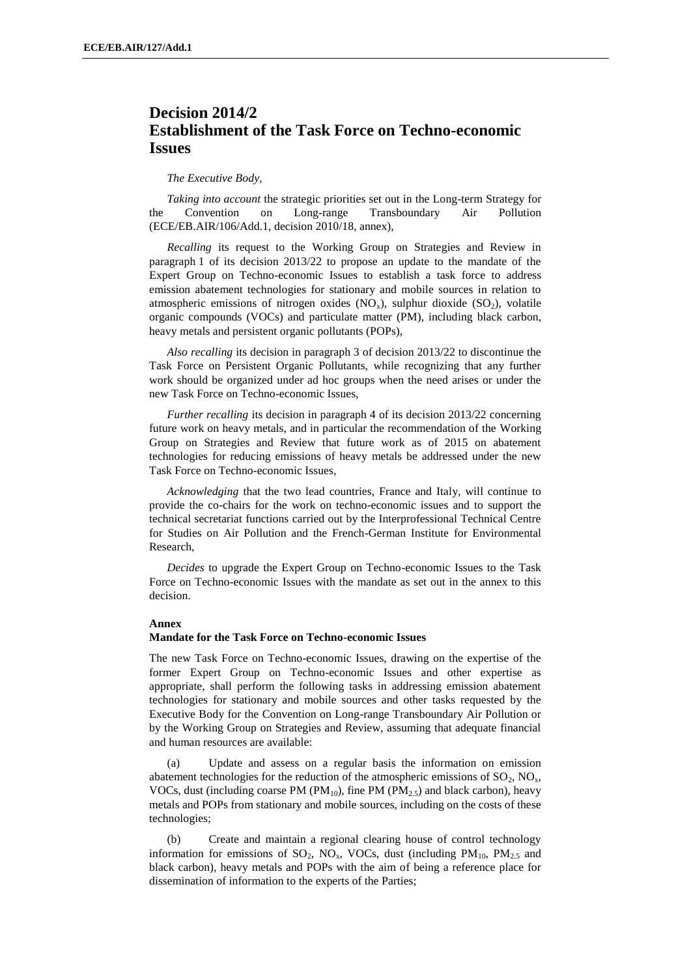## **Decision 2014/2 Establishment of the Task Force on Techno-economic Issues**

## *The Executive Body,*

*Taking into account* the strategic priorities set out in the Long-term Strategy for the Convention on Long-range Transboundary Air Pollution (ECE/EB.AIR/106/Add.1, decision 2010/18, annex),

*Recalling* its request to the Working Group on Strategies and Review in paragraph 1 of its decision 2013/22 to propose an update to the mandate of the Expert Group on Techno-economic Issues to establish a task force to address emission abatement technologies for stationary and mobile sources in relation to atmospheric emissions of nitrogen oxides  $(NO_x)$ , sulphur dioxide  $(SO_2)$ , volatile organic compounds (VOCs) and particulate matter (PM), including black carbon, heavy metals and persistent organic pollutants (POPs),

*Also recalling* its decision in paragraph 3 of decision 2013/22 to discontinue the Task Force on Persistent Organic Pollutants, while recognizing that any further work should be organized under ad hoc groups when the need arises or under the new Task Force on Techno-economic Issues,

*Further recalling* its decision in paragraph 4 of its decision 2013/22 concerning future work on heavy metals, and in particular the recommendation of the Working Group on Strategies and Review that future work as of 2015 on abatement technologies for reducing emissions of heavy metals be addressed under the new Task Force on Techno-economic Issues,

*Acknowledging* that the two lead countries, France and Italy, will continue to provide the co-chairs for the work on techno-economic issues and to support the technical secretariat functions carried out by the Interprofessional Technical Centre for Studies on Air Pollution and the French-German Institute for Environmental Research,

*Decides* to upgrade the Expert Group on Techno-economic Issues to the Task Force on Techno-economic Issues with the mandate as set out in the annex to this decision.

## **Annex**

## **Mandate for the Task Force on Techno-economic Issues**

The new Task Force on Techno-economic Issues, drawing on the expertise of the former Expert Group on Techno-economic Issues and other expertise as appropriate, shall perform the following tasks in addressing emission abatement technologies for stationary and mobile sources and other tasks requested by the Executive Body for the Convention on Long-range Transboundary Air Pollution or by the Working Group on Strategies and Review, assuming that adequate financial and human resources are available:

(a) Update and assess on a regular basis the information on emission abatement technologies for the reduction of the atmospheric emissions of  $SO_2$ ,  $NO_x$ , VOCs, dust (including coarse PM ( $PM_{10}$ ), fine PM ( $PM_{25}$ ) and black carbon), heavy metals and POPs from stationary and mobile sources, including on the costs of these technologies;

(b) Create and maintain a regional clearing house of control technology information for emissions of  $SO_2$ ,  $NO_x$ , VOCs, dust (including  $PM_{10}$ ,  $PM_{2.5}$  and black carbon), heavy metals and POPs with the aim of being a reference place for dissemination of information to the experts of the Parties;